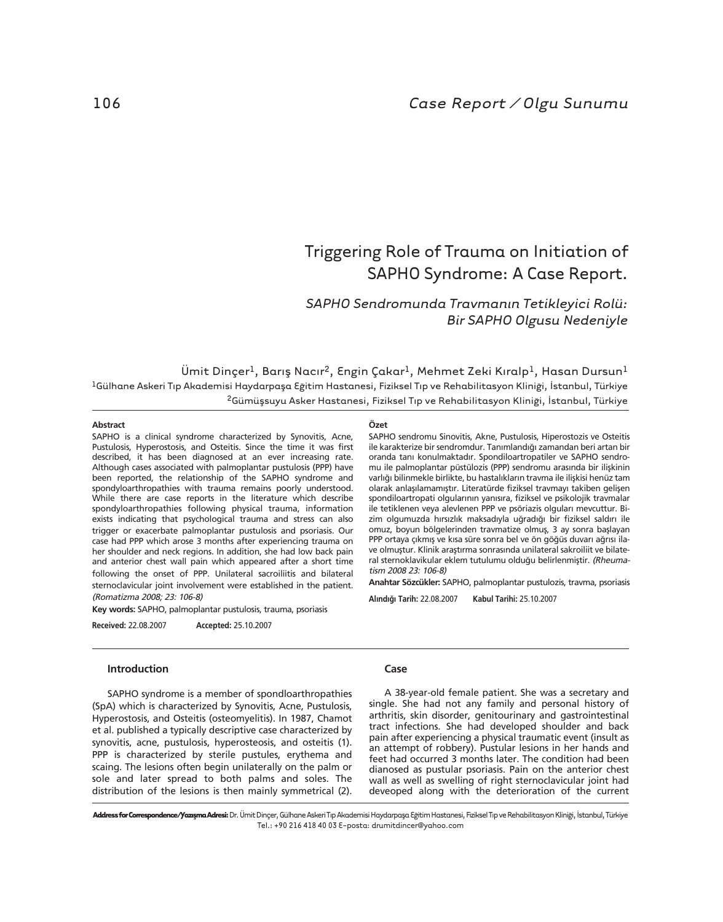# Triggering Role of Trauma on Initiation of SAPHO Syndrome: A Case Report.

## *SAPHO Sendromunda Travman›n Tetikleyici Rolü: Bir SAPHO Olgusu Nedeniyle*

Ümit Dinçer<sup>1</sup>, Barış Nacır<sup>2</sup>, Engin Çakar<sup>1</sup>, Mehmet Zeki Kıralp<sup>1</sup>, Hasan Dursun<sup>1</sup> <sup>1</sup>Gülhane Askeri Tıp Akademisi Haydarpaşa Eğitim Hastanesi, Fiziksel Tıp ve Rehabilitasyon Kliniği, İstanbul, Türkiye <sup>2</sup>Gümüşsuyu Asker Hastanesi, Fiziksel Tıp ve Rehabilitasyon Kliniği, İstanbul, Türkiye

### **Abstract**

SAPHO is a clinical syndrome characterized by Synovitis, Acne, Pustulosis, Hyperostosis, and Osteitis. Since the time it was first described, it has been diagnosed at an ever increasing rate. Although cases associated with palmoplantar pustulosis (PPP) have been reported, the relationship of the SAPHO syndrome and spondyloarthropathies with trauma remains poorly understood. While there are case reports in the literature which describe spondyloarthropathies following physical trauma, information exists indicating that psychological trauma and stress can also trigger or exacerbate palmoplantar pustulosis and psoriasis. Our case had PPP which arose 3 months after experiencing trauma on her shoulder and neck regions. In addition, she had low back pain and anterior chest wall pain which appeared after a short time following the onset of PPP. Unilateral sacroiliitis and bilateral sternoclavicular joint involvement were established in the patient. (Romatizma 2008; 23: 106-8)

**Key words:** SAPHO, palmoplantar pustulosis, trauma, psoriasis

**Received:** 22.08.2007 **Accepted:** 25.10.2007

#### **Introduction**

SAPHO syndrome is a member of spondloarthropathies (SpA) which is characterized by Synovitis, Acne, Pustulosis, Hyperostosis, and Osteitis (osteomyelitis). In 1987, Chamot et al. published a typically descriptive case characterized by synovitis, acne, pustulosis, hyperosteosis, and osteitis (1). PPP is characterized by sterile pustules, erythema and scaing. The lesions often begin unilaterally on the palm or sole and later spread to both palms and soles. The distribution of the lesions is then mainly symmetrical (2).

## **Özet**

SAPHO sendromu Sinovitis, Akne, Pustulosis, Hiperostozis ve Osteitis ile karakterize bir sendromdur. Tanımlandığı zamandan beri artan bir oranda tanı konulmaktadır. Spondiloartropatiler ve SAPHO sendromu ile palmoplantar püstülozis (PPP) sendromu arasında bir ilişkinin varlığı bilinmekle birlikte, bu hastalıkların travma ile ilişkisi henüz tam olarak anlaşılamamıştır. Literatürde fiziksel travmayı takiben gelişen spondiloartropati olgularının yanısıra, fiziksel ve psikolojik travmalar ile tetiklenen veya alevlenen PPP ve psöriazis olguları mevcuttur. Bizim olgumuzda hırsızlık maksadıyla uğradığı bir fiziksel saldırı ile omuz, boyun bölgelerinden travmatize olmuş, 3 ay sonra başlayan PPP ortaya çıkmış ve kısa süre sonra bel ve ön göğüs duvarı ağrısı ilave olmuştur. Klinik araştırma sonrasında unilateral sakroiliit ve bilateral sternoklavikular eklem tutulumu olduğu belirlenmiştir. (Rheumatism 2008 23: 106-8)

**Anahtar Sözcükler:** SAPHO, palmoplantar pustulozis, travma, psoriasis

**Al›nd›¤› Tarih:** 22.08.2007 **Kabul Tarihi:** 25.10.2007

## **Case**

A 38-year-old female patient. She was a secretary and single. She had not any family and personal history of arthritis, skin disorder, genitourinary and gastrointestinal tract infections. She had developed shoulder and back pain after experiencing a physical traumatic event (insult as an attempt of robbery). Pustular lesions in her hands and feet had occurred 3 months later. The condition had been dianosed as pustular psoriasis. Pain on the anterior chest wall as well as swelling of right sternoclavicular joint had deveoped along with the deterioration of the current

Address for Correspondence/Yazışma Adresi: Dr. Ümit Dinçer, Gülhane Askeri Tıp Akademisi Haydarpaşa Eğitim Hastanesi, Fiziksel Tıp ve Rehabilitasyon Kliniği, İstanbul, Türkiye Tel.: +90 216 418 40 03 E-posta: drumitdincer@yahoo.com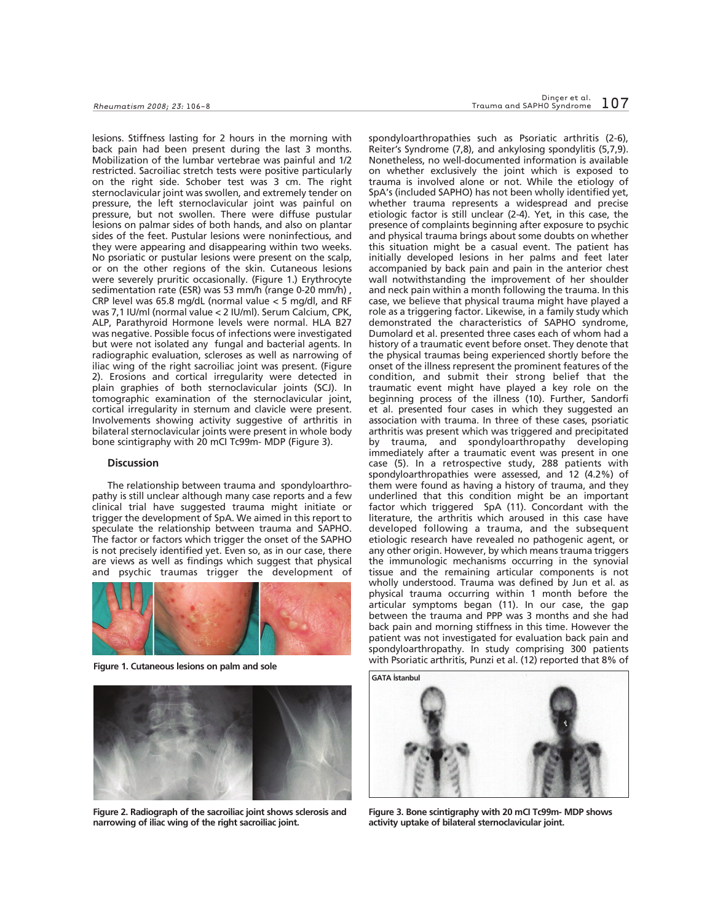lesions. Stiffness lasting for 2 hours in the morning with back pain had been present during the last 3 months. Mobilization of the lumbar vertebrae was painful and 1/2 restricted. Sacroiliac stretch tests were positive particularly on the right side. Schober test was 3 cm. The right sternoclavicular joint was swollen, and extremely tender on pressure, the left sternoclavicular joint was painful on pressure, but not swollen. There were diffuse pustular lesions on palmar sides of both hands, and also on plantar sides of the feet. Pustular lesions were noninfectious, and they were appearing and disappearing within two weeks. No psoriatic or pustular lesions were present on the scalp, or on the other regions of the skin. Cutaneous lesions were severely pruritic occasionally. (Figure 1.) Erythrocyte sedimentation rate (ESR) was 53 mm/h (range 0-20 mm/h) , CRP level was 65.8 mg/dL (normal value < 5 mg/dl, and RF was 7,1 IU/ml (normal value < 2 IU/ml). Serum Calcium, CPK, ALP, Parathyroid Hormone levels were normal. HLA B27 was negative. Possible focus of infections were investigated but were not isolated any fungal and bacterial agents. In radiographic evaluation, scleroses as well as narrowing of iliac wing of the right sacroiliac joint was present. (Figure 2). Erosions and cortical irregularity were detected in plain graphies of both sternoclavicular joints (SCJ). In tomographic examination of the sternoclavicular joint, cortical irregularity in sternum and clavicle were present. Involvements showing activity suggestive of arthritis in bilateral sternoclavicular joints were present in whole body bone scintigraphy with 20 mCI Tc99m- MDP (Figure 3).

#### **Discussion**

The relationship between trauma and spondyloarthropathy is still unclear although many case reports and a few clinical trial have suggested trauma might initiate or trigger the development of SpA. We aimed in this report to speculate the relationship between trauma and SAPHO. The factor or factors which trigger the onset of the SAPHO is not precisely identified yet. Even so, as in our case, there are views as well as findings which suggest that physical and psychic traumas trigger the development of





**Figure 2. Radiograph of the sacroiliac joint shows sclerosis and narrowing of iliac wing of the right sacroiliac joint.**

spondyloarthropathies such as Psoriatic arthritis (2-6), Reiter's Syndrome (7,8), and ankylosing spondylitis (5,7,9). Nonetheless, no well-documented information is available on whether exclusively the joint which is exposed to trauma is involved alone or not. While the etiology of SpA's (included SAPHO) has not been wholly identified yet, whether trauma represents a widespread and precise etiologic factor is still unclear (2-4). Yet, in this case, the presence of complaints beginning after exposure to psychic and physical trauma brings about some doubts on whether this situation might be a casual event. The patient has initially developed lesions in her palms and feet later accompanied by back pain and pain in the anterior chest wall notwithstanding the improvement of her shoulder and neck pain within a month following the trauma. In this case, we believe that physical trauma might have played a role as a triggering factor. Likewise, in a family study which demonstrated the characteristics of SAPHO syndrome, Dumolard et al. presented three cases each of whom had a history of a traumatic event before onset. They denote that the physical traumas being experienced shortly before the onset of the illness represent the prominent features of the condition, and submit their strong belief that the traumatic event might have played a key role on the beginning process of the illness (10). Further, Sandorfi et al. presented four cases in which they suggested an association with trauma. In three of these cases, psoriatic arthritis was present which was triggered and precipitated by trauma, and spondyloarthropathy developing immediately after a traumatic event was present in one case (5). In a retrospective study, 288 patients with spondyloarthropathies were assessed, and 12 (4.2%) of them were found as having a history of trauma, and they underlined that this condition might be an important factor which triggered SpA (11). Concordant with the literature, the arthritis which aroused in this case have developed following a trauma, and the subsequent etiologic research have revealed no pathogenic agent, or any other origin. However, by which means trauma triggers the immunologic mechanisms occurring in the synovial tissue and the remaining articular components is not wholly understood. Trauma was defined by Jun et al. as physical trauma occurring within 1 month before the articular symptoms began (11). In our case, the gap between the trauma and PPP was 3 months and she had back pain and morning stiffness in this time. However the patient was not investigated for evaluation back pain and spondyloarthropathy. In study comprising 300 patients with Psoriatic arthritis, Punzi et al. (12) reported that 8% of **Figure 1. Cutaneous lesions on palm and sole**



**Figure 3. Bone scintigraphy with 20 mCI Tc99m- MDP shows activity uptake of bilateral sternoclavicular joint.**